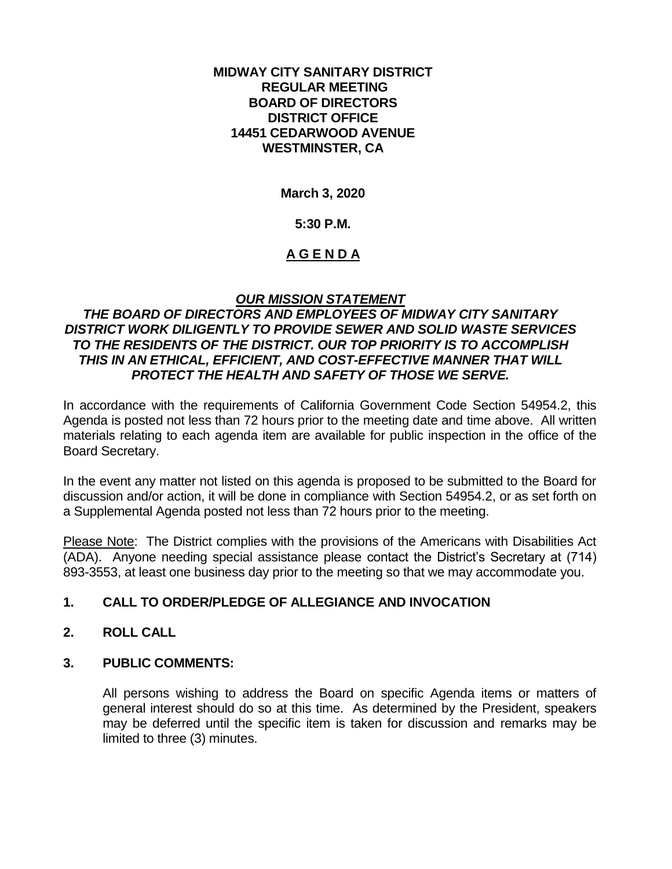#### **MIDWAY CITY SANITARY DISTRICT REGULAR MEETING BOARD OF DIRECTORS DISTRICT OFFICE 14451 CEDARWOOD AVENUE WESTMINSTER, CA**

**March 3, 2020**

### **5:30 P.M.**

## **A G E N D A**

## *OUR MISSION STATEMENT*

## *THE BOARD OF DIRECTORS AND EMPLOYEES OF MIDWAY CITY SANITARY DISTRICT WORK DILIGENTLY TO PROVIDE SEWER AND SOLID WASTE SERVICES TO THE RESIDENTS OF THE DISTRICT. OUR TOP PRIORITY IS TO ACCOMPLISH THIS IN AN ETHICAL, EFFICIENT, AND COST-EFFECTIVE MANNER THAT WILL PROTECT THE HEALTH AND SAFETY OF THOSE WE SERVE.*

In accordance with the requirements of California Government Code Section 54954.2, this Agenda is posted not less than 72 hours prior to the meeting date and time above. All written materials relating to each agenda item are available for public inspection in the office of the Board Secretary.

In the event any matter not listed on this agenda is proposed to be submitted to the Board for discussion and/or action, it will be done in compliance with Section 54954.2, or as set forth on a Supplemental Agenda posted not less than 72 hours prior to the meeting.

Please Note: The District complies with the provisions of the Americans with Disabilities Act (ADA). Anyone needing special assistance please contact the District's Secretary at (714) 893-3553, at least one business day prior to the meeting so that we may accommodate you.

# **1. CALL TO ORDER/PLEDGE OF ALLEGIANCE AND INVOCATION**

## **2. ROLL CALL**

## **3. PUBLIC COMMENTS:**

All persons wishing to address the Board on specific Agenda items or matters of general interest should do so at this time. As determined by the President, speakers may be deferred until the specific item is taken for discussion and remarks may be limited to three (3) minutes.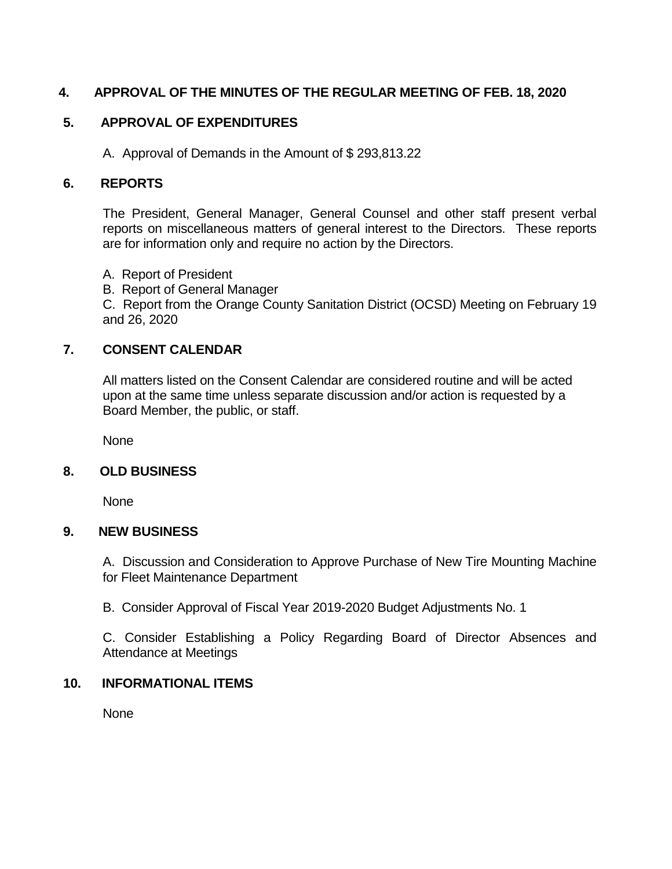# **4. APPROVAL OF THE MINUTES OF THE REGULAR MEETING OF FEB. 18, 2020**

# **5. APPROVAL OF EXPENDITURES**

A. Approval of Demands in the Amount of \$ 293,813.22

## **6. REPORTS**

The President, General Manager, General Counsel and other staff present verbal reports on miscellaneous matters of general interest to the Directors. These reports are for information only and require no action by the Directors.

- A. Report of President
- B. Report of General Manager

C. Report from the Orange County Sanitation District (OCSD) Meeting on February 19 and 26, 2020

## **7. CONSENT CALENDAR**

All matters listed on the Consent Calendar are considered routine and will be acted upon at the same time unless separate discussion and/or action is requested by a Board Member, the public, or staff.

None

## **8. OLD BUSINESS**

None

## **9. NEW BUSINESS**

A. Discussion and Consideration to Approve Purchase of New Tire Mounting Machine for Fleet Maintenance Department

B. Consider Approval of Fiscal Year 2019-2020 Budget Adjustments No. 1

C. Consider Establishing a Policy Regarding Board of Director Absences and Attendance at Meetings

## **10. INFORMATIONAL ITEMS**

None